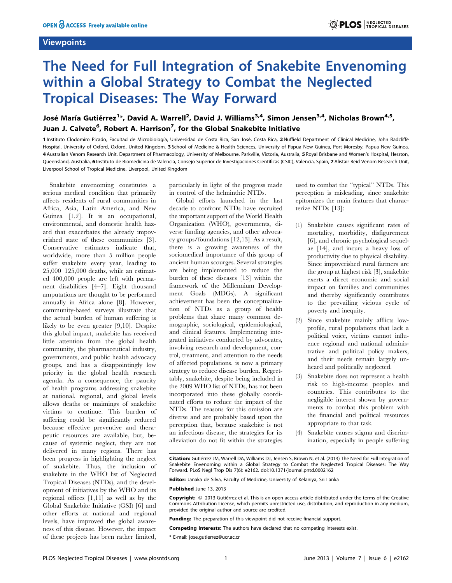## Viewpoints

# The Need for Full Integration of Snakebite Envenoming within a Global Strategy to Combat the Neglected Tropical Diseases: The Way Forward

# José María Gutiérrez<sup>1</sup>\*, David A. Warrell<sup>2</sup>, David J. Williams<sup>3,4</sup>, Simon Jensen<sup>3,4</sup>, Nicholas Brown<sup>4,5</sup>, Juan J. Calvete<sup>6</sup>, Robert A. Harrison<sup>7</sup>, for the Global Snakebite Initiative

1 Instituto Clodomiro Picado, Facultad de Microbiología, Universidad de Costa Rica, San José, Costa Rica, 2 Nuffield Department of Clinical Medicine, John Radcliffe Hospital, University of Oxford, Oxford, United Kingdom, 3 School of Medicine & Health Sciences, University of Papua New Guinea, Port Moresby, Papua New Guinea, 4 Australian Venom Research Unit, Department of Pharmacology, University of Melbourne, Parkville, Victoria, Australia, 5 Royal Brisbane and Women's Hospital, Herston, Queensland, Australia, 6 Instituto de Biomedicina de Valencia, Consejo Superior de Investigaciones Científicas (CSIC), Valencia, Spain, 7 Alistair Reid Venom Research Unit, Liverpool School of Tropical Medicine, Liverpool, United Kingdom

Snakebite envenoming constitutes a serious medical condition that primarily affects residents of rural communities in Africa, Asia, Latin America, and New Guinea [1,2]. It is an occupational, environmental, and domestic health hazard that exacerbates the already impoverished state of these communities [3]. Conservative estimates indicate that, worldwide, more than 5 million people suffer snakebite every year, leading to 25,000–125,000 deaths, while an estimated 400,000 people are left with permanent disabilities [4–7]. Eight thousand amputations are thought to be performed annually in Africa alone [8]. However, community-based surveys illustrate that the actual burden of human suffering is likely to be even greater [9,10]. Despite this global impact, snakebite has received little attention from the global health community, the pharmaceutical industry, governments, and public health advocacy groups, and has a disappointingly low priority in the global health research agenda. As a consequence, the paucity of health programs addressing snakebite at national, regional, and global levels allows deaths or maimings of snakebite victims to continue. This burden of suffering could be significantly reduced because effective preventive and therapeutic resources are available, but, because of systemic neglect, they are not delivered in many regions. There has been progress in highlighting the neglect of snakebite. Thus, the inclusion of snakebite in the WHO list of Neglected Tropical Diseases (NTDs), and the development of initiatives by the WHO and its regional offices [1,11] as well as by the Global Snakebite Initiative (GSI) [6] and other efforts at national and regional levels, have improved the global awareness of this disease. However, the impact of these projects has been rather limited,

particularly in light of the progress made in control of the helminthic NTDs.

Global efforts launched in the last decade to confront NTDs have recruited the important support of the World Health Organization (WHO), governments, diverse funding agencies, and other advocacy groups/foundations [12,13]. As a result, there is a growing awareness of the sociomedical importance of this group of ancient human scourges. Several strategies are being implemented to reduce the burden of these diseases [13] within the framework of the Millennium Development Goals (MDGs). A significant achievement has been the conceptualization of NTDs as a group of health problems that share many common demographic, sociological, epidemiological, and clinical features. Implementing integrated initiatives conducted by advocates, involving research and development, control, treatment, and attention to the needs of affected populations, is now a primary strategy to reduce disease burden. Regrettably, snakebite, despite being included in the 2009 WHO list of NTDs, has not been incorporated into these globally coordinated efforts to reduce the impact of the NTDs. The reasons for this omission are diverse and are probably based upon the perception that, because snakebite is not an infectious disease, the strategies for its alleviation do not fit within the strategies used to combat the ''typical'' NTDs. This perception is misleading, since snakebite epitomizes the main features that characterize NTDs [13]:

- (1) Snakebite causes significant rates of mortality, morbidity, disfigurement [6], and chronic psychological sequelae [14], and incurs a heavy loss of productivity due to physical disability. Since impoverished rural farmers are the group at highest risk [3], snakebite exerts a direct economic and social impact on families and communities and thereby significantly contributes to the prevailing vicious cycle of poverty and inequity.
- Since snakebite mainly afflicts lowprofile, rural populations that lack a political voice, victims cannot influence regional and national administrative and political policy makers, and their needs remain largely unheard and politically neglected.
- Snakebite does not represent a health risk to high-income peoples and countries. This contributes to the negligible interest shown by governments to combat this problem with the financial and political resources appropriate to that task.
- Snakebite causes stigma and discrimination, especially in people suffering

#### Citation: Gutiérrez JM, Warrell DA, Williams DJ, Jensen S, Brown N, et al. (2013) The Need for Full Integration of Snakebite Envenoming within a Global Strategy to Combat the Neglected Tropical Diseases: The Way Forward. PLoS Negl Trop Dis 7(6): e2162. doi:10.1371/journal.pntd.0002162

Editor: Janaka de Silva, Faculty of Medicine, University of Kelaniya, Sri Lanka

Published June 13, 2013

Funding: The preparation of this viewpoint did not receive financial support.

Competing Interests: The authors have declared that no competing interests exist.

\* E-mail: jose.gutierrez@ucr.ac.cr

Copyright: © 2013 Gutiérrez et al. This is an open-access article distributed under the terms of the Creative Commons Attribution License, which permits unrestricted use, distribution, and reproduction in any medium, provided the original author and source are credited.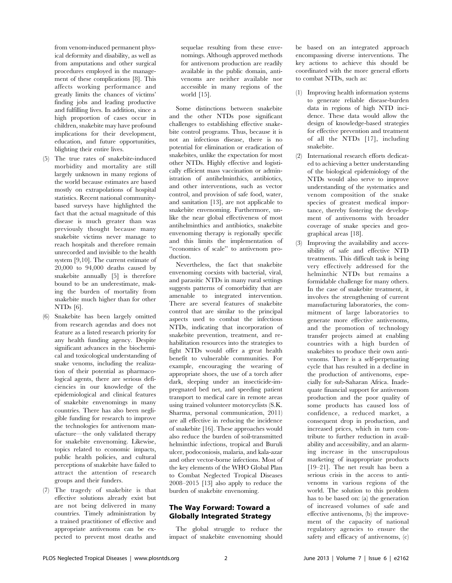from venom-induced permanent physical deformity and disability, as well as from amputations and other surgical procedures employed in the management of these complications [8]. This affects working performance and greatly limits the chances of victims' finding jobs and leading productive and fulfilling lives. In addition, since a high proportion of cases occur in children, snakebite may have profound implications for their development, education, and future opportunities, blighting their entire lives.

- (5) The true rates of snakebite-induced morbidity and mortality are still largely unknown in many regions of the world because estimates are based mostly on extrapolations of hospital statistics. Recent national communitybased surveys have highlighted the fact that the actual magnitude of this disease is much greater than was previously thought because many snakebite victims never manage to reach hospitals and therefore remain unrecorded and invisible to the health system [9,10]. The current estimate of 20,000 to 94,000 deaths caused by snakebite annually [5] is therefore bound to be an underestimate, making the burden of mortality from snakebite much higher than for other NTDs [6].
- (6) Snakebite has been largely omitted from research agendas and does not feature as a listed research priority for any health funding agency. Despite significant advances in the biochemical and toxicological understanding of snake venoms, including the realization of their potential as pharmacological agents, there are serious deficiencies in our knowledge of the epidemiological and clinical features of snakebite envenomings in many countries. There has also been negligible funding for research to improve the technologies for antivenom manufacture—the only validated therapy for snakebite envenoming. Likewise, topics related to economic impacts, public health policies, and cultural perceptions of snakebite have failed to attract the attention of research groups and their funders.
- (7) The tragedy of snakebite is that effective solutions already exist but are not being delivered in many countries. Timely administration by a trained practitioner of effective and appropriate antivenoms can be expected to prevent most deaths and

sequelae resulting from these envenomings. Although approved methods for antivenom production are readily available in the public domain, antivenoms are neither available nor accessible in many regions of the world [15].

Some distinctions between snakebite and the other NTDs pose significant challenges to establishing effective snakebite control programs. Thus, because it is not an infectious disease, there is no potential for elimination or eradication of snakebites, unlike the expectation for most other NTDs. Highly effective and logistically efficient mass vaccination or administration of antihelminthics, antibiotics, and other interventions, such as vector control, and provision of safe food, water, and sanitation [13], are not applicable to snakebite envenoming. Furthermore, unlike the near global effectiveness of most antihelminthics and antibiotics, snakebite envenoming therapy is regionally specific and this limits the implementation of ''economics of scale'' to antivenom production.

Nevertheless, the fact that snakebite envenoming coexists with bacterial, viral, and parasitic NTDs in many rural settings suggests patterns of comorbidity that are amenable to integrated intervention. There are several features of snakebite control that are similar to the principal aspects used to combat the infectious NTDs, indicating that incorporation of snakebite prevention, treatment, and rehabilitation resources into the strategies to fight NTDs would offer a great health benefit to vulnerable communities. For example, encouraging the wearing of appropriate shoes, the use of a torch after dark, sleeping under an insecticide-impregnated bed net, and speeding patient transport to medical care in remote areas using trained volunteer motorcyclists (S.K. Sharma, personal communication, 2011) are all effective in reducing the incidence of snakebite [16]. These approaches would also reduce the burden of soil-transmitted helminthic infections, tropical and Buruli ulcer, podoconiosis, malaria, and kala-azar and other vector-borne infections. Most of the key elements of the WHO Global Plan to Combat Neglected Tropical Diseases 2008–2015 [13] also apply to reduce the burden of snakebite envenoming.

# The Way Forward: Toward a Globally Integrated Strategy

The global struggle to reduce the impact of snakebite envenoming should be based on an integrated approach encompassing diverse interventions. The key actions to achieve this should be coordinated with the more general efforts to combat NTDs, such as:

- (1) Improving health information systems to generate reliable disease-burden data in regions of high NTD incidence. These data would allow the design of knowledge-based strategies for effective prevention and treatment of all the NTDs [17], including snakebite.
- (2) International research efforts dedicated to achieving a better understanding of the biological epidemiology of the NTDs would also serve to improve understanding of the systematics and venom composition of the snake species of greatest medical importance, thereby fostering the development of antivenoms with broader coverage of snake species and geographical areas [18].
- (3) Improving the availability and accessibility of safe and effective NTD treatments. This difficult task is being very effectively addressed for the helminthic NTDs but remains a formidable challenge for many others. In the case of snakebite treatment, it involves the strengthening of current manufacturing laboratories, the commitment of large laboratories to generate more effective antivenoms, and the promotion of technology transfer projects aimed at enabling countries with a high burden of snakebites to produce their own antivenoms. There is a self-perpetuating cycle that has resulted in a decline in the production of antivenoms, especially for sub-Saharan Africa. Inadequate financial support for antivenom production and the poor quality of some products has caused loss of confidence, a reduced market, a consequent drop in production, and increased prices, which in turn contribute to further reduction in availability and accessibility, and an alarming increase in the unscrupulous marketing of inappropriate products [19–21]. The net result has been a serious crisis in the access to antivenoms in various regions of the world. The solution to this problem has to be based on: (a) the generation of increased volumes of safe and effective antivenoms, (b) the improvement of the capacity of national regulatory agencies to ensure the safety and efficacy of antivenoms, (c)